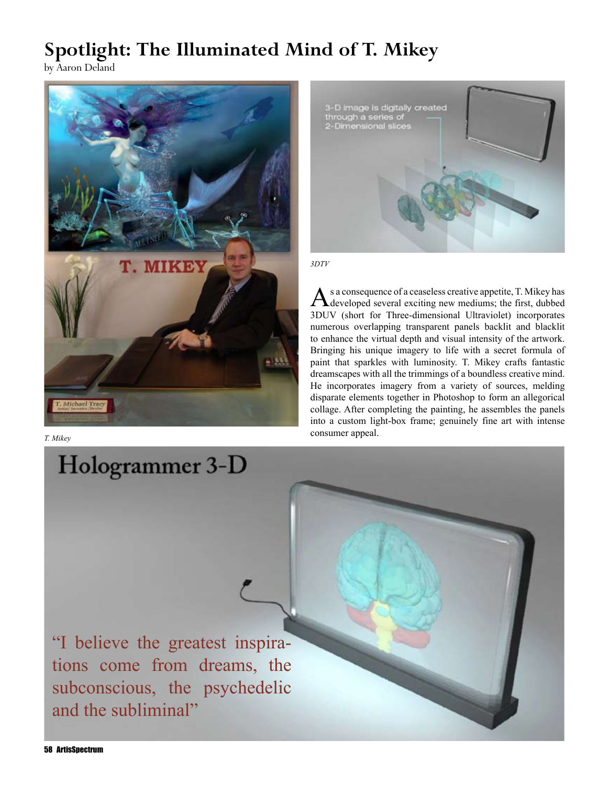## **Spotlight: The Illuminated Mind of T. Mikey** by Aaron Deland



*T. Mikey*



*3DTV*

As a consequence of a ceaseless creative appetite, T. Mikey has developed several exciting new mediums; the first, dubbed 3DUV (short for Three-dimensional Ultraviolet) incorporates numerous overlapping transparent panels backlit and blacklit to enhance the virtual depth and visual intensity of the artwork. Bringing his unique imagery to life with a secret formula of paint that sparkles with luminosity. T. Mikey crafts fantastic dreamscapes with all the trimmings of a boundless creative mind. He incorporates imagery from a variety of sources, melding disparate elements together in Photoshop to form an allegorical collage. After completing the painting, he assembles the panels into a custom light-box frame; genuinely fine art with intense consumer appeal.